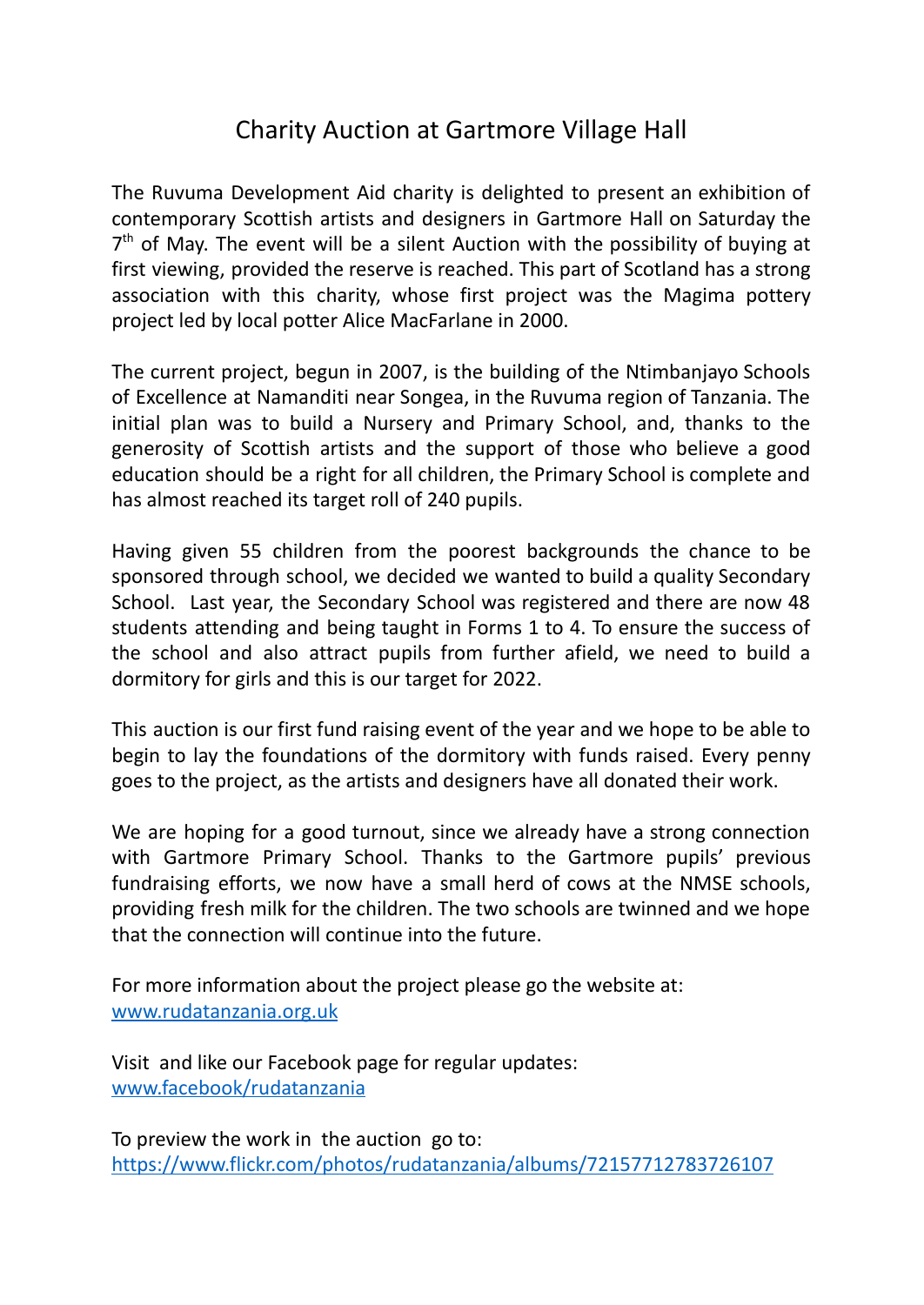## Charity Auction at Gartmore Village Hall

The Ruvuma Development Aid charity is delighted to present an exhibition of contemporary Scottish artists and designers in Gartmore Hall on Saturday the  $7<sup>th</sup>$  of May. The event will be a silent Auction with the possibility of buying at first viewing, provided the reserve is reached. This part of Scotland has a strong association with this charity, whose first project was the Magima pottery project led by local potter Alice MacFarlane in 2000.

The current project, begun in 2007, is the building of the Ntimbanjayo Schools of Excellence at Namanditi near Songea, in the Ruvuma region of Tanzania. The initial plan was to build a Nursery and Primary School, and, thanks to the generosity of Scottish artists and the support of those who believe a good education should be a right for all children, the Primary School is complete and has almost reached its target roll of 240 pupils.

Having given 55 children from the poorest backgrounds the chance to be sponsored through school, we decided we wanted to build a quality Secondary School. Last year, the Secondary School was registered and there are now 48 students attending and being taught in Forms 1 to 4. To ensure the success of the school and also attract pupils from further afield, we need to build a dormitory for girls and this is our target for 2022.

This auction is our first fund raising event of the year and we hope to be able to begin to lay the foundations of the dormitory with funds raised. Every penny goes to the project, as the artists and designers have all donated their work.

We are hoping for a good turnout, since we already have a strong connection with Gartmore Primary School. Thanks to the Gartmore pupils' previous fundraising efforts, we now have a small herd of cows at the NMSE schools, providing fresh milk for the children. The two schools are twinned and we hope that the connection will continue into the future.

For more information about the project please go the website at: [www.rudatanzania.org.uk](http://www.rudatanzania.org.uk)

Visit and like our Facebook page for regular updates: [www.facebook/rudatanzania](http://www.facebook/rudatanzania)

To preview the work in the auction go to: <https://www.flickr.com/photos/rudatanzania/albums/72157712783726107>